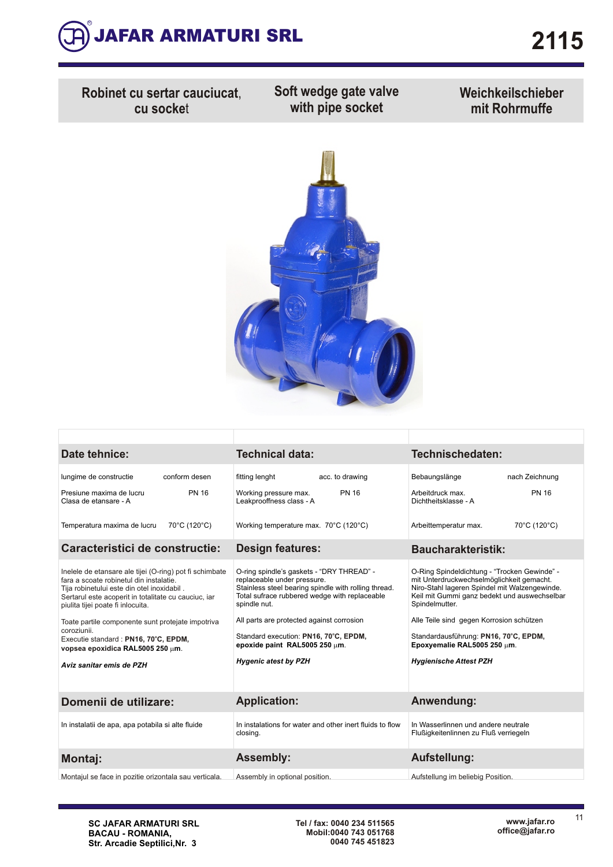

**Robinet cu sertar cauciucat**, **cu socke**t

**Soft wedge gate valve with pipe socket**

**Weichkeilschieber mit Rohrmuffe**



| Date tehnice:                                                                                                                                                                                                                                                                                                                                                                                                             |               | <b>Technical data:</b>                                                                                                                                                                                                                                                                                                                                  |                 | Technischedaten:                                                                                                                                                                                                                                                                                                                                                  |                |
|---------------------------------------------------------------------------------------------------------------------------------------------------------------------------------------------------------------------------------------------------------------------------------------------------------------------------------------------------------------------------------------------------------------------------|---------------|---------------------------------------------------------------------------------------------------------------------------------------------------------------------------------------------------------------------------------------------------------------------------------------------------------------------------------------------------------|-----------------|-------------------------------------------------------------------------------------------------------------------------------------------------------------------------------------------------------------------------------------------------------------------------------------------------------------------------------------------------------------------|----------------|
| lungime de constructie                                                                                                                                                                                                                                                                                                                                                                                                    | conform desen | fitting lenght                                                                                                                                                                                                                                                                                                                                          | acc. to drawing | Bebaungslänge                                                                                                                                                                                                                                                                                                                                                     | nach Zeichnung |
| Presiune maxima de lucru<br>Clasa de etansare - A                                                                                                                                                                                                                                                                                                                                                                         | <b>PN 16</b>  | Working pressure max.<br>Leakprooffness class - A                                                                                                                                                                                                                                                                                                       | <b>PN 16</b>    | Arbeitdruck max.<br>Dichtheitsklasse - A                                                                                                                                                                                                                                                                                                                          | <b>PN 16</b>   |
| Temperatura maxima de lucru                                                                                                                                                                                                                                                                                                                                                                                               | 70°C (120°C)  | Working temperature max. 70°C (120°C)                                                                                                                                                                                                                                                                                                                   |                 | Arbeittemperatur max.                                                                                                                                                                                                                                                                                                                                             | 70°C (120°C)   |
| Caracteristici de constructie:                                                                                                                                                                                                                                                                                                                                                                                            |               | <b>Design features:</b>                                                                                                                                                                                                                                                                                                                                 |                 | <b>Baucharakteristik:</b>                                                                                                                                                                                                                                                                                                                                         |                |
| Inelele de etansare ale tijei (O-ring) pot fi schimbate<br>fara a scoate robinetul din instalatie.<br>Tija robinetului este din otel inoxidabil.<br>Sertarul este acoperit in totalitate cu cauciuc, iar<br>piulita tijei poate fi inlocuita.<br>Toate partile componente sunt protejate impotriva<br>coroziunii.<br>Executie standard: PN16, 70°C, EPDM,<br>vopsea epoxidica RAL5005 250 µm.<br>Aviz sanitar emis de PZH |               | O-ring spindle's gaskets - "DRY THREAD" -<br>replaceable under pressure.<br>Stainless steel bearing spindle with rolling thread.<br>Total sufrace rubbered wedge with replaceable<br>spindle nut.<br>All parts are protected against corrosion<br>Standard execution: PN16, 70°C, EPDM,<br>epoxide paint RAL5005 250 um.<br><b>Hygenic atest by PZH</b> |                 | O-Ring Spindeldichtung - "Trocken Gewinde" -<br>mit Unterdruckwechselmöglichkeit gemacht.<br>Niro-Stahl lageren Spindel mit Walzengewinde.<br>Keil mit Gummi ganz bedekt und auswechselbar<br>Spindelmutter.<br>Alle Teile sind gegen Korrosion schützen<br>Standardausführung: PN16, 70°C, EPDM,<br>Epoxyemalie RAL5005 250 µm.<br><b>Hygienische Attest PZH</b> |                |
| Domenii de utilizare:                                                                                                                                                                                                                                                                                                                                                                                                     |               | <b>Application:</b>                                                                                                                                                                                                                                                                                                                                     |                 | Anwendung:                                                                                                                                                                                                                                                                                                                                                        |                |
| In instalatii de apa, apa potabila si alte fluide                                                                                                                                                                                                                                                                                                                                                                         |               | In instalations for water and other inert fluids to flow<br>closing.                                                                                                                                                                                                                                                                                    |                 | In Wasserlinnen und andere neutrale<br>Flußigkeitenlinnen zu Fluß verriegeln                                                                                                                                                                                                                                                                                      |                |
| Montaj:                                                                                                                                                                                                                                                                                                                                                                                                                   |               | <b>Assembly:</b>                                                                                                                                                                                                                                                                                                                                        |                 | Aufstellung:                                                                                                                                                                                                                                                                                                                                                      |                |
| Montajul se face in pozitie orizontala sau verticala.                                                                                                                                                                                                                                                                                                                                                                     |               | Assembly in optional position.                                                                                                                                                                                                                                                                                                                          |                 | Aufstellung im beliebig Position.                                                                                                                                                                                                                                                                                                                                 |                |

11